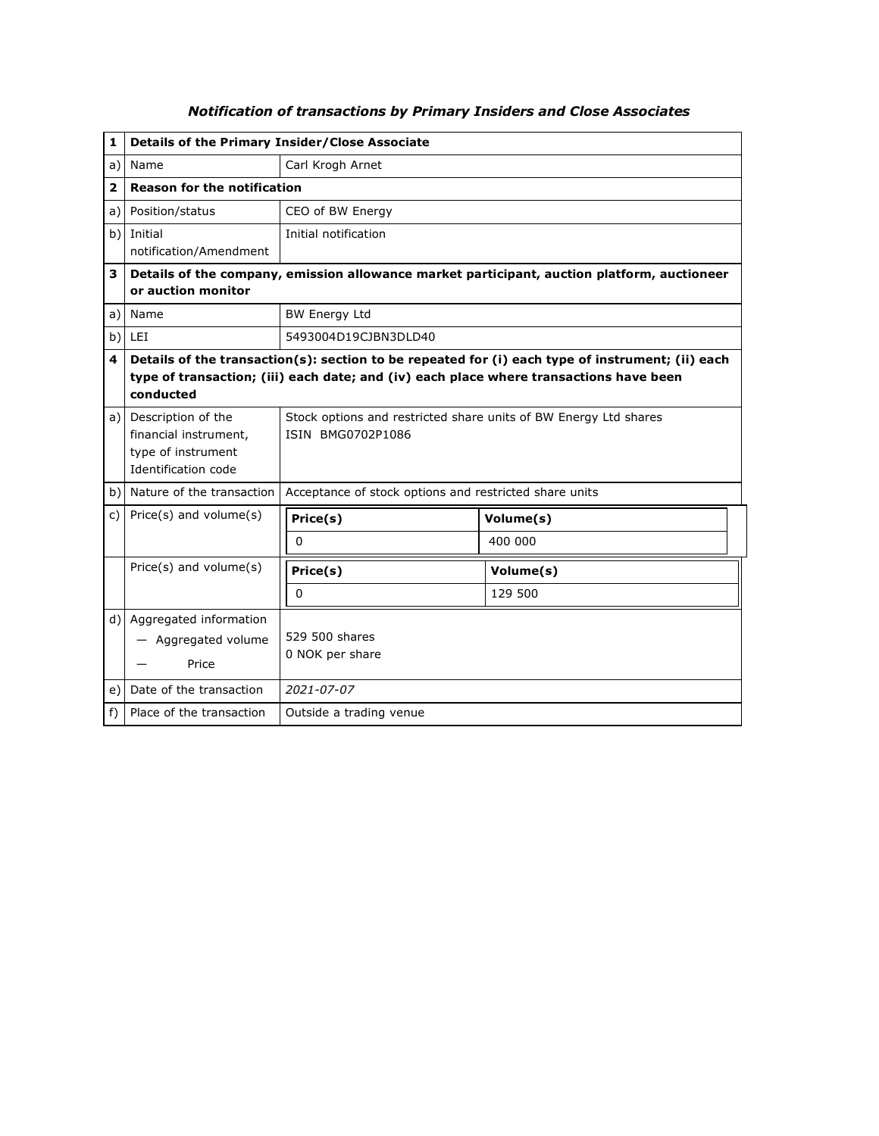| 1    | Details of the Primary Insider/Close Associate                                                                    |                                                                                                                                                                                            |           |  |  |
|------|-------------------------------------------------------------------------------------------------------------------|--------------------------------------------------------------------------------------------------------------------------------------------------------------------------------------------|-----------|--|--|
| a)   | Name                                                                                                              | Carl Krogh Arnet                                                                                                                                                                           |           |  |  |
| 2    | <b>Reason for the notification</b>                                                                                |                                                                                                                                                                                            |           |  |  |
| a) l | Position/status                                                                                                   | CEO of BW Energy                                                                                                                                                                           |           |  |  |
|      | b) Initial                                                                                                        | Initial notification                                                                                                                                                                       |           |  |  |
|      | notification/Amendment                                                                                            |                                                                                                                                                                                            |           |  |  |
| 3    | Details of the company, emission allowance market participant, auction platform, auctioneer<br>or auction monitor |                                                                                                                                                                                            |           |  |  |
| a)   | Name                                                                                                              | <b>BW Energy Ltd</b>                                                                                                                                                                       |           |  |  |
| b)   | LEI                                                                                                               | 5493004D19CJBN3DLD40                                                                                                                                                                       |           |  |  |
| 4    | conducted                                                                                                         | Details of the transaction(s): section to be repeated for (i) each type of instrument; (ii) each<br>type of transaction; (iii) each date; and (iv) each place where transactions have been |           |  |  |
|      | a) Description of the<br>financial instrument,<br>type of instrument<br>Identification code                       | Stock options and restricted share units of BW Energy Ltd shares<br>ISIN BMG0702P1086                                                                                                      |           |  |  |
|      | b) Nature of the transaction                                                                                      | Acceptance of stock options and restricted share units                                                                                                                                     |           |  |  |
| c)   | Price(s) and volume(s)                                                                                            | Price(s)                                                                                                                                                                                   | Volume(s) |  |  |
|      |                                                                                                                   | $\mathbf 0$                                                                                                                                                                                | 400 000   |  |  |
|      | Price(s) and volume(s)                                                                                            | Price(s)                                                                                                                                                                                   | Volume(s) |  |  |
|      |                                                                                                                   | $\mathbf 0$                                                                                                                                                                                | 129 500   |  |  |
|      | d) Aggregated information<br>- Aggregated volume<br>Price                                                         | 529 500 shares<br>0 NOK per share                                                                                                                                                          |           |  |  |
| e) l | Date of the transaction                                                                                           | 2021-07-07                                                                                                                                                                                 |           |  |  |
| f)   | Place of the transaction                                                                                          | Outside a trading venue                                                                                                                                                                    |           |  |  |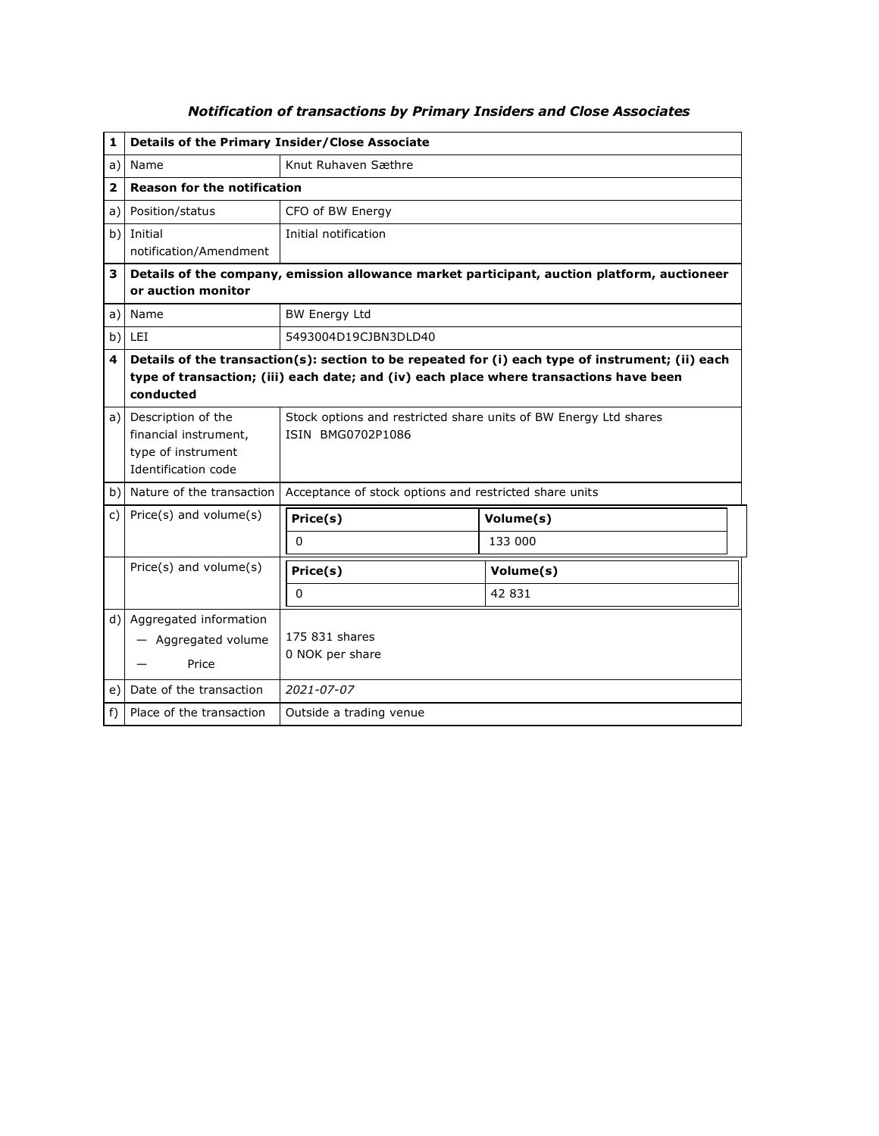| 1     | Details of the Primary Insider/Close Associate                                                                    |                                                                                                                                                                                            |           |  |
|-------|-------------------------------------------------------------------------------------------------------------------|--------------------------------------------------------------------------------------------------------------------------------------------------------------------------------------------|-----------|--|
| a)    | Name                                                                                                              | Knut Ruhaven Sæthre                                                                                                                                                                        |           |  |
| 2     |                                                                                                                   | <b>Reason for the notification</b>                                                                                                                                                         |           |  |
| a) l  | Position/status                                                                                                   | CFO of BW Energy                                                                                                                                                                           |           |  |
|       | b) Initial                                                                                                        | Initial notification                                                                                                                                                                       |           |  |
|       | notification/Amendment                                                                                            |                                                                                                                                                                                            |           |  |
| 3     | Details of the company, emission allowance market participant, auction platform, auctioneer<br>or auction monitor |                                                                                                                                                                                            |           |  |
|       | a) Name                                                                                                           | <b>BW Energy Ltd</b>                                                                                                                                                                       |           |  |
|       | $b)$ LEI                                                                                                          | 5493004D19CJBN3DLD40                                                                                                                                                                       |           |  |
| 4     | conducted                                                                                                         | Details of the transaction(s): section to be repeated for (i) each type of instrument; (ii) each<br>type of transaction; (iii) each date; and (iv) each place where transactions have been |           |  |
|       | a) Description of the<br>financial instrument,<br>type of instrument<br>Identification code                       | Stock options and restricted share units of BW Energy Ltd shares<br>ISIN BMG0702P1086                                                                                                      |           |  |
|       | b) Nature of the transaction                                                                                      | Acceptance of stock options and restricted share units                                                                                                                                     |           |  |
| C)    | Price(s) and volume(s)                                                                                            | Price(s)                                                                                                                                                                                   | Volume(s) |  |
|       |                                                                                                                   | 0                                                                                                                                                                                          | 133 000   |  |
|       | Price(s) and volume(s)                                                                                            | Price(s)                                                                                                                                                                                   | Volume(s) |  |
|       |                                                                                                                   | 0                                                                                                                                                                                          | 42 831    |  |
|       | d) Aggregated information<br>- Aggregated volume<br>Price                                                         | 175 831 shares<br>0 NOK per share                                                                                                                                                          |           |  |
| e)    | Date of the transaction                                                                                           | 2021-07-07                                                                                                                                                                                 |           |  |
| $f$ ) | Place of the transaction                                                                                          | Outside a trading venue                                                                                                                                                                    |           |  |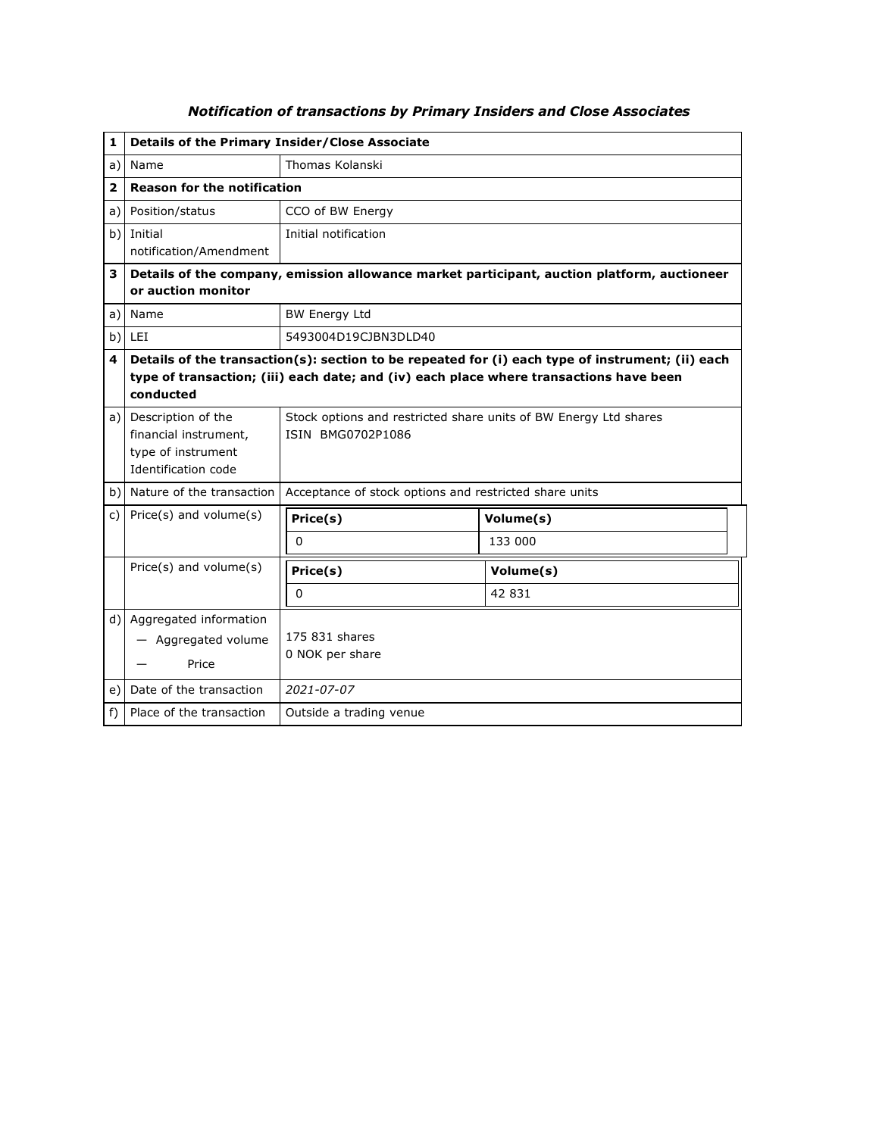| 1              | <b>Details of the Primary Insider/Close Associate</b>                                       |                                                                                                                                                                                            |           |  |
|----------------|---------------------------------------------------------------------------------------------|--------------------------------------------------------------------------------------------------------------------------------------------------------------------------------------------|-----------|--|
| a)             | Name                                                                                        | Thomas Kolanski                                                                                                                                                                            |           |  |
| $\overline{2}$ | <b>Reason for the notification</b>                                                          |                                                                                                                                                                                            |           |  |
| a)             | Position/status                                                                             | CCO of BW Energy                                                                                                                                                                           |           |  |
|                | b) Initial<br>notification/Amendment                                                        | Initial notification                                                                                                                                                                       |           |  |
| 3              | or auction monitor                                                                          | Details of the company, emission allowance market participant, auction platform, auctioneer                                                                                                |           |  |
|                | a)   Name                                                                                   | <b>BW Energy Ltd</b>                                                                                                                                                                       |           |  |
| b)             | LEI                                                                                         | 5493004D19CJBN3DLD40                                                                                                                                                                       |           |  |
| 4              | conducted                                                                                   | Details of the transaction(s): section to be repeated for (i) each type of instrument; (ii) each<br>type of transaction; (iii) each date; and (iv) each place where transactions have been |           |  |
|                | a) Description of the<br>financial instrument,<br>type of instrument<br>Identification code | Stock options and restricted share units of BW Energy Ltd shares<br>ISIN BMG0702P1086                                                                                                      |           |  |
|                | b) Nature of the transaction                                                                | Acceptance of stock options and restricted share units                                                                                                                                     |           |  |
| C)             | Price(s) and volume(s)                                                                      | Price(s)                                                                                                                                                                                   | Volume(s) |  |
|                |                                                                                             | 0                                                                                                                                                                                          | 133 000   |  |
|                | Price(s) and volume(s)                                                                      | Price(s)                                                                                                                                                                                   | Volume(s) |  |
|                |                                                                                             | 0                                                                                                                                                                                          | 42 831    |  |
|                | d) Aggregated information<br>- Aggregated volume<br>Price                                   | 175 831 shares<br>0 NOK per share                                                                                                                                                          |           |  |
| e)             | Date of the transaction                                                                     | 2021-07-07                                                                                                                                                                                 |           |  |
| $f$ )          | Place of the transaction                                                                    | Outside a trading venue                                                                                                                                                                    |           |  |